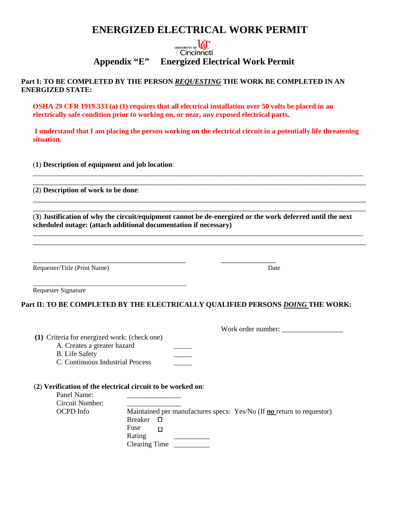## **ENERGIZED ELECTRICAL WORK PERMIT**

### UNIVERSITY OF **LCC** Cincinnati **Appendix "E" Energized Electrical Work Permit**

**Part I: TO BE COMPLETED BY THE PERSON** *REQUESTING* **THE WORK BE COMPLETED IN AN ENERGIZED STATE:** 

**OSHA 29 CFR 1919.333 (a) (1) requires that all electrical installation over 50 volts be placed in an electrically safe condition prior to working on, or near, any exposed electrical parts.** 

**I understand that I am placing the person working on the electrical circuit in a potentially life threatening situation.**

\_\_\_\_\_\_\_\_\_\_\_\_\_\_\_\_\_\_\_\_\_\_\_\_\_\_\_\_\_\_\_\_\_\_\_\_\_\_\_\_\_\_\_\_\_\_\_\_\_\_\_\_\_\_\_\_\_\_\_\_\_\_\_\_\_\_\_\_\_\_\_\_\_\_\_\_\_\_\_\_\_\_\_\_\_\_\_\_\_\_\_\_ \_\_\_\_\_\_\_\_\_\_\_\_\_\_\_\_\_\_\_\_\_\_\_\_\_\_\_\_\_\_\_\_\_\_\_\_\_\_\_\_\_\_\_\_\_\_\_\_\_\_\_\_\_\_\_\_\_\_\_\_\_\_\_\_\_\_\_\_\_\_\_\_\_\_\_\_\_\_\_\_\_\_\_\_\_

\_\_\_\_\_\_\_\_\_\_\_\_\_\_\_\_\_\_\_\_\_\_\_\_\_\_\_\_\_\_\_\_\_\_\_\_\_\_\_\_\_\_\_\_\_\_\_\_\_\_\_\_\_\_\_\_\_\_\_\_\_\_\_\_\_\_\_\_\_\_\_\_\_\_\_\_\_\_\_\_\_\_\_\_\_

(**1**) **Description of equipment and job location**:

(**2**) **Description of work to be done**:

\_\_\_\_\_\_\_\_\_\_\_\_\_\_\_\_\_\_\_\_\_\_\_\_\_\_\_\_\_\_\_\_\_\_\_\_\_\_\_\_\_\_\_\_\_\_\_\_\_\_\_\_\_\_\_\_\_\_\_\_\_\_\_\_\_\_\_\_\_\_\_\_\_\_\_\_\_\_\_\_\_\_\_\_\_ (**3**) **Justification of why the circuit/equipment cannot be de-energized or the work deferred until the next scheduled outage: (attach additional documentation if necessary)**

\_\_\_\_\_\_\_\_\_\_\_\_\_\_\_\_\_\_\_\_\_\_\_\_\_\_\_\_\_\_\_\_\_\_\_\_\_\_\_\_\_\_\_\_\_\_\_\_\_\_\_\_\_\_\_\_\_\_\_\_\_\_\_\_\_\_\_\_\_\_\_\_\_\_\_\_\_\_\_\_\_\_\_\_\_\_\_\_\_\_\_\_ \_\_\_\_\_\_\_\_\_\_\_\_\_\_\_\_\_\_\_\_\_\_\_\_\_\_\_\_\_\_\_\_\_\_\_\_\_\_\_\_\_\_\_\_\_\_\_\_\_\_\_\_\_\_\_\_\_\_\_\_\_\_\_\_\_\_\_\_\_\_\_\_\_\_\_\_\_\_\_\_\_\_\_\_\_

Requester/Title (Print Name) Date

|  | Requester Signature |
|--|---------------------|
|--|---------------------|

#### **Part II: TO BE COMPLETED BY THE ELECTRICALLY QUALIFIED PERSONS** *DOING* **THE WORK:**

\_\_\_\_\_\_\_\_\_\_\_\_\_\_\_\_\_\_\_\_\_\_\_\_\_\_\_\_\_\_\_\_\_\_\_\_\_\_\_ \_\_\_\_\_\_\_\_\_\_\_\_\_\_

Work order number: \_\_\_\_\_\_\_\_\_\_\_\_\_\_\_\_\_

- **(1)** Criteria for energized work: (check one)
	- A. Creates a greater hazard \_\_\_\_\_

\_\_\_\_\_\_\_\_\_\_\_\_\_\_\_\_\_\_\_\_\_\_\_\_\_\_\_\_\_\_\_\_\_\_\_\_\_\_\_\_\_\_\_\_\_\_\_

- B. Life Safety
- C. Continuous Industrial Process \_\_\_\_\_

#### (**2**) **Verification of the electrical circuit to be worked on**:

| Panel Name:     |                                                                       |
|-----------------|-----------------------------------------------------------------------|
| Circuit Number: |                                                                       |
| OCPD Info       | Maintained per manufactures specs: Yes/No (If no return to requestor) |
|                 | Breaker                                                               |
|                 | Fuse                                                                  |
|                 | Rating                                                                |
|                 | Clearing Time                                                         |